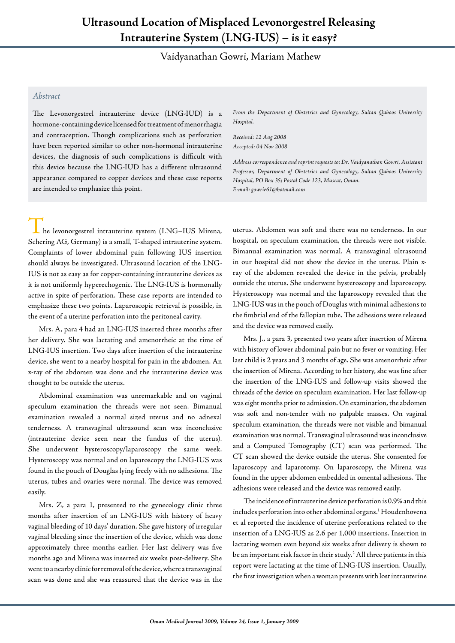## **Ultrasound Location of Misplaced Levonorgestrel Releasing Intrauterine System (LNG-IUS) – is it easy?**

Vaidyanathan Gowri, Mariam Mathew

## *Abstract*

The Levonorgestrel intrauterine device (LNG-IUD) is a hormone-containing device licensed for treatment of menorrhagia and contraception. Though complications such as perforation have been reported similar to other non-hormonal intrauterine devices, the diagnosis of such complications is difficult with this device because the LNG-IUD has a different ultrasound appearance compared to copper devices and these case reports are intended to emphasize this point.

*From the Department of Obstetrics and Gynecology, Sultan Qaboos University Hospital.*

*Received: 12 Aug 2008 Accepted: 04 Nov 2008*

*Address correspondence and reprint requests to: Dr. Vaidyanathan Gowri, Assistant Professor, Department of Obstetrics and Gynecology, Sultan Qaboos University Hospital, PO Box 35; Postal Code 123, Muscat, Oman. E-mail: gowrie61@hotmail.com*

 $\mathsf{\_}$  he levonorgestrel intrauterine system (LNG–IUS Mirena, Schering AG, Germany) is a small, T-shaped intrauterine system. Complaints of lower abdominal pain following IUS insertion should always be investigated. Ultrasound location of the LNG-IUS is not as easy as for copper-containing intrauterine devices as it is not uniformly hyperechogenic. The LNG-IUS is hormonally active in spite of perforation. These case reports are intended to emphasize these two points. Laparoscopic retrieval is possible, in the event of a uterine perforation into the peritoneal cavity.

Mrs. A, para 4 had an LNG-IUS inserted three months after her delivery. She was lactating and amenorrheic at the time of LNG-IUS insertion. Two days after insertion of the intrauterine device, she went to a nearby hospital for pain in the abdomen. An x-ray of the abdomen was done and the intrauterine device was thought to be outside the uterus.

Abdominal examination was unremarkable and on vaginal speculum examination the threads were not seen. Bimanual examination revealed a normal sized uterus and no adnexal tenderness. A transvaginal ultrasound scan was inconclusive (intrauterine device seen near the fundus of the uterus). She underwent hysteroscopy/laparoscopy the same week. Hysteroscopy was normal and on laparoscopy the LNG-IUS was found in the pouch of Douglas lying freely with no adhesions. The uterus, tubes and ovaries were normal. The device was removed easily.

Mrs. Z, a para 1, presented to the gynecology clinic three months after insertion of an LNG-IUS with history of heavy vaginal bleeding of 10 days' duration. She gave history of irregular vaginal bleeding since the insertion of the device, which was done approximately three months earlier. Her last delivery was five months ago and Mirena was inserted six weeks post-delivery. She went to a nearby clinic for removal of the device, where a transvaginal scan was done and she was reassured that the device was in the

uterus. Abdomen was soft and there was no tenderness. In our hospital, on speculum examination, the threads were not visible. Bimanual examination was normal. A transvaginal ultrasound in our hospital did not show the device in the uterus. Plain xray of the abdomen revealed the device in the pelvis, probably outside the uterus. She underwent hysteroscopy and laparoscopy. Hysteroscopy was normal and the laparoscopy revealed that the LNG-IUS was in the pouch of Douglas with minimal adhesions to the fimbrial end of the fallopian tube. The adhesions were released and the device was removed easily.

Mrs. J., a para 3, presented two years after insertion of Mirena with history of lower abdominal pain but no fever or vomiting. Her last child is 2 years and 3 months of age. She was amenorrheic after the insertion of Mirena. According to her history, she was fine after the insertion of the LNG-IUS and follow-up visits showed the threads of the device on speculum examination. Her last follow-up was eight months prior to admission. On examination, the abdomen was soft and non-tender with no palpable masses. On vaginal speculum examination, the threads were not visible and bimanual examination was normal. Transvaginal ultrasound was inconclusive and a Computed Tomography (CT) scan was performed. The CT scan showed the device outside the uterus. She consented for laparoscopy and laparotomy. On laparoscopy, the Mirena was found in the upper abdomen embedded in omental adhesions. The adhesions were released and the device was removed easily.

The incidence of intrauterine device perforation is 0.9% and this includes perforation into other abdominal organs.1 Houdenhovena et al reported the incidence of uterine perforations related to the insertion of a LNG-IUS as 2.6 per 1,000 insertions. Insertion in lactating women even beyond six weeks after delivery is shown to be an important risk factor in their study.<sup>2</sup> All three patients in this report were lactating at the time of LNG-IUS insertion. Usually, the first investigation when a woman presents with lost intrauterine